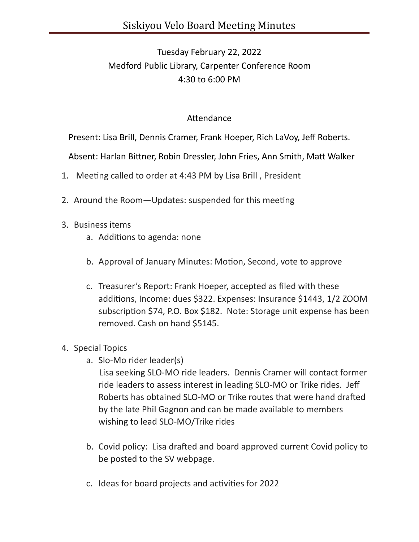## Tuesday February 22, 2022 Medford Public Library, Carpenter Conference Room 4:30 to 6:00 PM

## Attendance

Present: Lisa Brill, Dennis Cramer, Frank Hoeper, Rich LaVoy, Jeff Roberts.

Absent: Harlan Bittner, Robin Dressler, John Fries, Ann Smith, Matt Walker

- 1. Meeting called to order at 4:43 PM by Lisa Brill, President
- 2. Around the Room-Updates: suspended for this meeting
- 3. Business items
	- a. Additions to agenda: none
	- b. Approval of January Minutes: Motion, Second, vote to approve
	- c. Treasurer's Report: Frank Hoeper, accepted as filed with these additions, Income: dues \$322. Expenses: Insurance \$1443, 1/2 ZOOM subscription \$74, P.O. Box \$182. Note: Storage unit expense has been removed. Cash on hand \$5145.
- 4. Special Topics
	- a. Slo-Mo rider leader(s)

 Lisa seeking SLO-MO ride leaders. Dennis Cramer will contact former ride leaders to assess interest in leading SLO-MO or Trike rides. Jeff Roberts has obtained SLO-MO or Trike routes that were hand drafted by the late Phil Gagnon and can be made available to members wishing to lead SLO-MO/Trike rides

- b. Covid policy: Lisa drafted and board approved current Covid policy to be posted to the SV webpage.
- c. Ideas for board projects and activities for 2022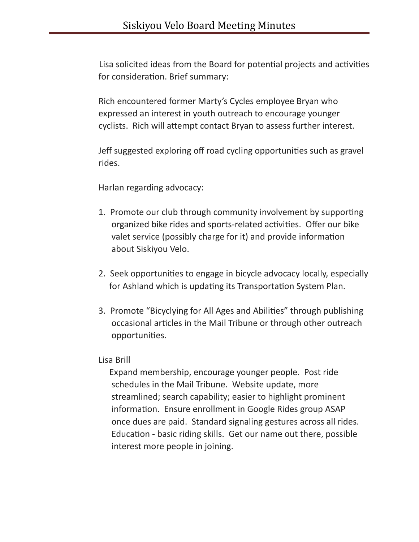Lisa solicited ideas from the Board for potential projects and activities for consideration. Brief summary:

 Rich encountered former Marty's Cycles employee Bryan who expressed an interest in youth outreach to encourage younger cyclists. Rich will attempt contact Bryan to assess further interest.

Jeff suggested exploring off road cycling opportunities such as gravel rides.

Harlan regarding advocacy:

- 1. Promote our club through community involvement by supporting organized bike rides and sports-related activities. Offer our bike valet service (possibly charge for it) and provide information about Siskiyou Velo.
- 2. Seek opportunities to engage in bicycle advocacy locally, especially for Ashland which is updating its Transportation System Plan.
- 3. Promote "Bicyclying for All Ages and Abilities" through publishing occasional articles in the Mail Tribune or through other outreach opportunities.

## Lisa Brill

 Expand membership, encourage younger people. Post ride schedules in the Mail Tribune. Website update, more streamlined; search capability; easier to highlight prominent information. Ensure enrollment in Google Rides group ASAP once dues are paid. Standard signaling gestures across all rides. Education - basic riding skills. Get our name out there, possible interest more people in joining.